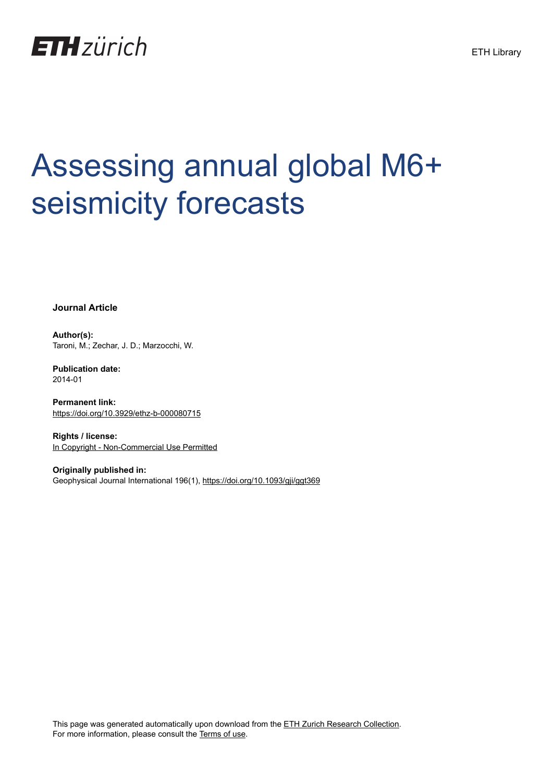

# Assessing annual global M6+ seismicity forecasts

**Journal Article**

**Author(s):** Taroni, M.; Zechar, J. D.; Marzocchi, W.

**Publication date:** 2014-01

**Permanent link:** <https://doi.org/10.3929/ethz-b-000080715>

**Rights / license:** [In Copyright - Non-Commercial Use Permitted](http://rightsstatements.org/page/InC-NC/1.0/)

**Originally published in:** Geophysical Journal International 196(1),<https://doi.org/10.1093/gji/ggt369>

This page was generated automatically upon download from the [ETH Zurich Research Collection.](https://www.research-collection.ethz.ch) For more information, please consult the [Terms of use](https://www.research-collection.ethz.ch/terms-of-use).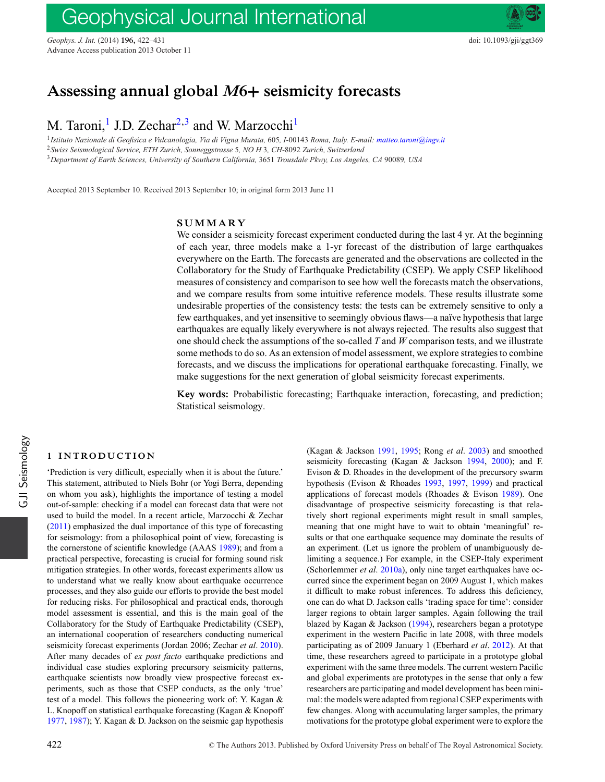## Geophysical Journal International

*Geophys. J. Int.* (2014) **196,** 422–431 doi: 10.1093/gji/ggt369 Advance Access publication 2013 October 11

## **Assessing annual global** *M***6+ seismicity forecasts**

### M. Taroni,<sup>1</sup> J.D. Zechar<sup>[2,](#page-1-1)[3](#page-1-2)</sup> and W. Marzocchi<sup>[1](#page-1-0)</sup>

<span id="page-1-2"></span><span id="page-1-1"></span><span id="page-1-0"></span><sup>1</sup>*Istituto Nazionale di Geofisica e Vulcanologia, Via di Vigna Murata,* 605*, I-*00143 *Roma, Italy. E-mail: [matteo.taroni@ingv.it](mailto:matteo.taroni@ingv.it)* <sup>2</sup>*Swiss Seismological Service, ETH Zurich, Sonneggstrasse* 5*, NO H* 3*, CH-*8092 *Zurich, Switzerland* <sup>3</sup>*Department of Earth Sciences, University of Southern California,* 3651 *Trousdale Pkwy, Los Angeles, CA* 90089*, USA*

Accepted 2013 September 10. Received 2013 September 10; in original form 2013 June 11

#### **SUMMARY**

We consider a seismicity forecast experiment conducted during the last 4 yr. At the beginning of each year, three models make a 1-yr forecast of the distribution of large earthquakes everywhere on the Earth. The forecasts are generated and the observations are collected in the Collaboratory for the Study of Earthquake Predictability (CSEP). We apply CSEP likelihood measures of consistency and comparison to see how well the forecasts match the observations, and we compare results from some intuitive reference models. These results illustrate some undesirable properties of the consistency tests: the tests can be extremely sensitive to only a few earthquakes, and yet insensitive to seemingly obvious flaws—a naïve hypothesis that large earthquakes are equally likely everywhere is not always rejected. The results also suggest that one should check the assumptions of the so-called *T* and *W* comparison tests, and we illustrate some methods to do so. As an extension of model assessment, we explore strategies to combine forecasts, and we discuss the implications for operational earthquake forecasting. Finally, we make suggestions for the next generation of global seismicity forecast experiments.

**Key words:** Probabilistic forecasting; Earthquake interaction, forecasting, and prediction; Statistical seismology.

#### **1 INTRODUCTION**

'Prediction is very difficult, especially when it is about the future.' This statement, attributed to Niels Bohr (or Yogi Berra, depending on whom you ask), highlights the importance of testing a model out-of-sample: checking if a model can forecast data that were not used to build the model. In a recent article, Marzocchi & Zechar [\(2011\)](#page-10-0) emphasized the dual importance of this type of forecasting for seismology: from a philosophical point of view, forecasting is the cornerstone of scientific knowledge (AAAS [1989\)](#page-9-0); and from a practical perspective, forecasting is crucial for forming sound risk mitigation strategies. In other words, forecast experiments allow us to understand what we really know about earthquake occurrence processes, and they also guide our efforts to provide the best model for reducing risks. For philosophical and practical ends, thorough model assessment is essential, and this is the main goal of the Collaboratory for the Study of Earthquake Predictability (CSEP), an international cooperation of researchers conducting numerical seismicity forecast experiments (Jordan 2006; Zechar *et al*. [2010\)](#page-10-1). After many decades of *ex post facto* earthquake predictions and individual case studies exploring precursory seismicity patterns, earthquake scientists now broadly view prospective forecast experiments, such as those that CSEP conducts, as the only 'true' test of a model. This follows the pioneering work of: Y. Kagan & L. Knopoff on statistical earthquake forecasting (Kagan & Knopoff [1977,](#page-10-2) [1987\)](#page-10-3); Y. Kagan & D. Jackson on the seismic gap hypothesis (Kagan & Jackson [1991,](#page-10-4) [1995;](#page-10-5) Rong *et al*. [2003\)](#page-10-6) and smoothed seismicity forecasting (Kagan & Jackson [1994,](#page-10-7) [2000\)](#page-10-8); and F. Evison & D. Rhoades in the development of the precursory swarm hypothesis (Evison & Rhoades [1993,](#page-9-1) [1997,](#page-9-2) [1999\)](#page-9-3) and practical applications of forecast models (Rhoades & Evison [1989\)](#page-10-9). One disadvantage of prospective seismicity forecasting is that relatively short regional experiments might result in small samples, meaning that one might have to wait to obtain 'meaningful' results or that one earthquake sequence may dominate the results of an experiment. (Let us ignore the problem of unambiguously delimiting a sequence.) For example, in the CSEP-Italy experiment (Schorlemmer *et al*. [2010a\)](#page-10-10), only nine target earthquakes have occurred since the experiment began on 2009 August 1, which makes it difficult to make robust inferences. To address this deficiency, one can do what D. Jackson calls 'trading space for time': consider larger regions to obtain larger samples. Again following the trail blazed by Kagan & Jackson [\(1994\)](#page-10-7), researchers began a prototype experiment in the western Pacific in late 2008, with three models participating as of 2009 January 1 (Eberhard *et al*. [2012\)](#page-9-4). At that time, these researchers agreed to participate in a prototype global experiment with the same three models. The current western Pacific and global experiments are prototypes in the sense that only a few researchers are participating and model development has been minimal: the models were adapted from regional CSEP experiments with few changes. Along with accumulating larger samples, the primary motivations for the prototype global experiment were to explore the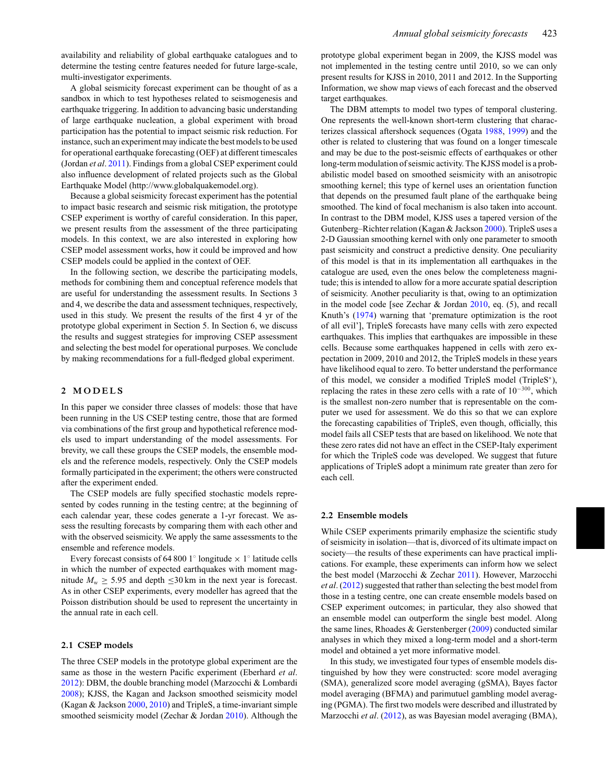availability and reliability of global earthquake catalogues and to determine the testing centre features needed for future large-scale, multi-investigator experiments.

A global seismicity forecast experiment can be thought of as a sandbox in which to test hypotheses related to seismogenesis and earthquake triggering. In addition to advancing basic understanding of large earthquake nucleation, a global experiment with broad participation has the potential to impact seismic risk reduction. For instance, such an experiment may indicate the best models to be used for operational earthquake forecasting (OEF) at different timescales (Jordan *et al*. [2011\)](#page-10-11). Findings from a global CSEP experiment could also influence development of related projects such as the Global Earthquake Model (http://www.globalquakemodel.org).

Because a global seismicity forecast experiment has the potential to impact basic research and seismic risk mitigation, the prototype CSEP experiment is worthy of careful consideration. In this paper, we present results from the assessment of the three participating models. In this context, we are also interested in exploring how CSEP model assessment works, how it could be improved and how CSEP models could be applied in the context of OEF.

In the following section, we describe the participating models, methods for combining them and conceptual reference models that are useful for understanding the assessment results. In Sections 3 and 4, we describe the data and assessment techniques, respectively, used in this study. We present the results of the first 4 yr of the prototype global experiment in Section 5. In Section 6, we discuss the results and suggest strategies for improving CSEP assessment and selecting the best model for operational purposes. We conclude by making recommendations for a full-fledged global experiment.

#### **2 MODELS**

In this paper we consider three classes of models: those that have been running in the US CSEP testing centre, those that are formed via combinations of the first group and hypothetical reference models used to impart understanding of the model assessments. For brevity, we call these groups the CSEP models, the ensemble models and the reference models, respectively. Only the CSEP models formally participated in the experiment; the others were constructed after the experiment ended.

The CSEP models are fully specified stochastic models represented by codes running in the testing centre; at the beginning of each calendar year, these codes generate a 1-yr forecast. We assess the resulting forecasts by comparing them with each other and with the observed seismicity. We apply the same assessments to the ensemble and reference models.

Every forecast consists of 64 800 1 $\degree$  longitude  $\times$  1 $\degree$  latitude cells in which the number of expected earthquakes with moment magnitude  $M_w \ge 5.95$  and depth  $\le 30$  km in the next year is forecast. As in other CSEP experiments, every modeller has agreed that the Poisson distribution should be used to represent the uncertainty in the annual rate in each cell.

#### **2.1 CSEP models**

The three CSEP models in the prototype global experiment are the same as those in the western Pacific experiment (Eberhard *et al*. [2012\)](#page-9-4): DBM, the double branching model (Marzocchi & Lombardi [2008\)](#page-10-12); KJSS, the Kagan and Jackson smoothed seismicity model (Kagan & Jackson [2000,](#page-10-8) [2010\)](#page-10-13) and TripleS, a time-invariant simple smoothed seismicity model (Zechar & Jordan [2010\)](#page-10-14). Although the prototype global experiment began in 2009, the KJSS model was not implemented in the testing centre until 2010, so we can only present results for KJSS in 2010, 2011 and 2012. In the Supporting Information, we show map views of each forecast and the observed target earthquakes.

The DBM attempts to model two types of temporal clustering. One represents the well-known short-term clustering that characterizes classical aftershock sequences (Ogata [1988,](#page-10-15) [1999\)](#page-10-16) and the other is related to clustering that was found on a longer timescale and may be due to the post-seismic effects of earthquakes or other long-term modulation of seismic activity. The KJSS model is a probabilistic model based on smoothed seismicity with an anisotropic smoothing kernel; this type of kernel uses an orientation function that depends on the presumed fault plane of the earthquake being smoothed. The kind of focal mechanism is also taken into account. In contrast to the DBM model, KJSS uses a tapered version of the Gutenberg–Richter relation (Kagan & Jackson [2000\)](#page-10-8). TripleS uses a 2-D Gaussian smoothing kernel with only one parameter to smooth past seismicity and construct a predictive density. One peculiarity of this model is that in its implementation all earthquakes in the catalogue are used, even the ones below the completeness magnitude; this is intended to allow for a more accurate spatial description of seismicity. Another peculiarity is that, owing to an optimization in the model code [see Zechar & Jordan [2010,](#page-10-14) eq. (5), and recall Knuth's [\(1974\)](#page-10-17) warning that 'premature optimization is the root of all evil'], TripleS forecasts have many cells with zero expected earthquakes. This implies that earthquakes are impossible in these cells. Because some earthquakes happened in cells with zero expectation in 2009, 2010 and 2012, the TripleS models in these years have likelihood equal to zero. To better understand the performance of this model, we consider a modified TripleS model (TripleS<sup>∗</sup>), replacing the rates in these zero cells with a rate of  $10^{-300}$ , which is the smallest non-zero number that is representable on the computer we used for assessment. We do this so that we can explore the forecasting capabilities of TripleS, even though, officially, this model fails all CSEP tests that are based on likelihood. We note that these zero rates did not have an effect in the CSEP-Italy experiment for which the TripleS code was developed. We suggest that future applications of TripleS adopt a minimum rate greater than zero for each cell.

#### **2.2 Ensemble models**

While CSEP experiments primarily emphasize the scientific study of seismicity in isolation—that is, divorced of its ultimate impact on society—the results of these experiments can have practical implications. For example, these experiments can inform how we select the best model (Marzocchi & Zechar [2011\)](#page-10-0). However, Marzocchi *et al*. [\(2012\)](#page-10-18) suggested that rather than selecting the best model from those in a testing centre, one can create ensemble models based on CSEP experiment outcomes; in particular, they also showed that an ensemble model can outperform the single best model. Along the same lines, Rhoades & Gerstenberger [\(2009\)](#page-10-19) conducted similar analyses in which they mixed a long-term model and a short-term model and obtained a yet more informative model[.](#page-3-0)

In this study, we investigated four types of ensemble models distinguished by how they were constructed: score model averaging (SMA), generalized score model averaging (gSMA), Bayes factor model averaging (BFMA) and parimutuel gambling model averaging (PGMA). The first two models were described and illustrated by Marzocchi *et al*. [\(2012\)](#page-10-18), as was Bayesian model averaging (BMA),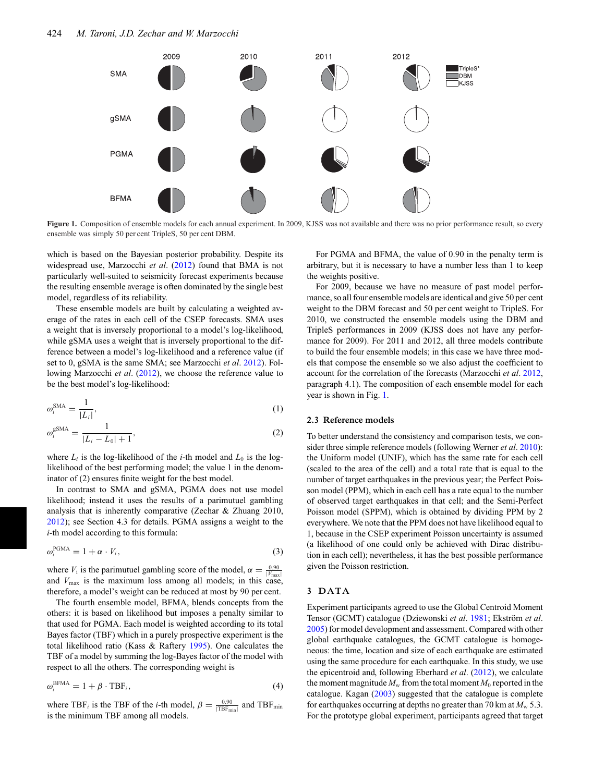<span id="page-3-0"></span>

Figure 1. Composition of ensemble models for each annual experiment. In 2009, KJSS was not available and there was no prior performance result, so every ensemble was simply 50 per cent TripleS, 50 per cent DBM.

which is based on the Bayesian posterior probability. Despite its widespread use, Marzocchi *et al*. [\(2012\)](#page-10-18) found that BMA is not particularly well-suited to seismicity forecast experiments because the resulting ensemble average is often dominated by the single best model, regardless of its reliability.

These ensemble models are built by calculating a weighted average of the rates in each cell of the CSEP forecasts. SMA uses a weight that is inversely proportional to a model's log-likelihood, while gSMA uses a weight that is inversely proportional to the difference between a model's log-likelihood and a reference value (if set to 0, gSMA is the same SMA; see Marzocchi *et al*. [2012\)](#page-10-18). Following Marzocchi *et al*. [\(2012\)](#page-10-18), we choose the reference value to be the best model's log-likelihood:

$$
\omega_i^{\text{SMA}} = \frac{1}{|L_i|},\tag{1}
$$

$$
\omega_i^{\text{SMA}} = \frac{1}{|L_i - L_0| + 1},\tag{2}
$$

where  $L_i$  is the log-likelihood of the *i*-th model and  $L_0$  is the loglikelihood of the best performing model; the value 1 in the denominator of (2) ensures finite weight for the best model.

In contrast to SMA and gSMA, PGMA does not use model likelihood; instead it uses the results of a parimutuel gambling analysis that is inherently comparative (Zechar & Zhuang 2010, [2012\)](#page-10-20); see Section 4.3 for details. PGMA assigns a weight to the *i*-th model according to this formula:

$$
\omega_i^{\text{PGMA}} = 1 + \alpha \cdot V_i,\tag{3}
$$

where  $V_i$  is the parimutuel gambling score of the model,  $\alpha = \frac{0.90}{|V_{\text{max}}|}$ and  $V_{\text{max}}$  is the maximum loss among all models; in this case, therefore, a model's weight can be reduced at most by 90 per cent.

The fourth ensemble model, BFMA, blends concepts from the others: it is based on likelihood but imposes a penalty similar to that used for PGMA. Each model is weighted according to its total Bayes factor (TBF) which in a purely prospective experiment is the total likelihood ratio (Kass & Raftery [1995\)](#page-10-21). One calculates the TBF of a model by summing the log-Bayes factor of the model with respect to all the others. The corresponding weight is

$$
\omega_i^{\text{BFMA}} = 1 + \beta \cdot \text{TBF}_i,\tag{4}
$$

where TBF<sub>*i*</sub> is the TBF of the *i*-th model,  $\beta = \frac{0.90}{|\text{TBF}_{\text{min}}|}$  and TBF<sub>min</sub> is the minimum TBF among all models.

For PGMA and BFMA, the value of 0.90 in the penalty term is arbitrary, but it is necessary to have a number less than 1 to keep the weights positive.

For 2009, because we have no measure of past model performance, so all four ensemble models are identical and give 50 per cent weight to the DBM forecast and 50 per cent weight to TripleS. For 2010, we constructed the ensemble models using the DBM and TripleS performances in 2009 (KJSS does not have any performance for 2009). For 2011 and 2012, all three models contribute to build the four ensemble models; in this case we have three models that compose the ensemble so we also adjust the coefficient to account for the correlation of the forecasts (Marzocchi *et al*. [2012,](#page-10-18) paragraph 4.1). The composition of each ensemble model for each year is shown in Fig. [1.](#page-3-0)

#### **2.3 Reference models**

To better understand the consistency and comparison tests, we consider three simple reference models (following Werner *et al*. [2010\)](#page-10-22): the Uniform model (UNIF), which has the same rate for each cell (scaled to the area of the cell) and a total rate that is equal to the number of target earthquakes in the previous year; the Perfect Poisson model (PPM), which in each cell has a rate equal to the number of observed target earthquakes in that cell; and the Semi-Perfect Poisson model (SPPM), which is obtained by dividing PPM by 2 everywhere. We note that the PPM does not have likelihood equal to 1, because in the CSEP experiment Poisson uncertainty is assumed (a likelihood of one could only be achieved with Dirac distribution in each cell); nevertheless, it has the best possible performance given the Poisson restriction.

#### **3 DATA**

Experiment participants agreed to use the Global Centroid Moment Tensor (GCMT) catalogue (Dziewonski *et al*. [1981;](#page-9-5) Ekstrom¨ *et al*. [2005\)](#page-9-6) for model development and assessment. Compared with other global earthquake catalogues, the GCMT catalogue is homogeneous: the time, location and size of each earthquake are estimated using the same procedure for each earthquake. In this study, we use the epicentroid and, following Eberhard *et al*. [\(2012\)](#page-9-4), we calculate the moment magnitude  $M_w$  from the total moment  $M_0$  reported in the catalogue. Kagan [\(2003\)](#page-10-23) suggested that the catalogue is complete for earthquakes occurring at depths no greater than 70 km at  $M_{\rm w}$  5.3. For the prototype global experiment, participants agreed that target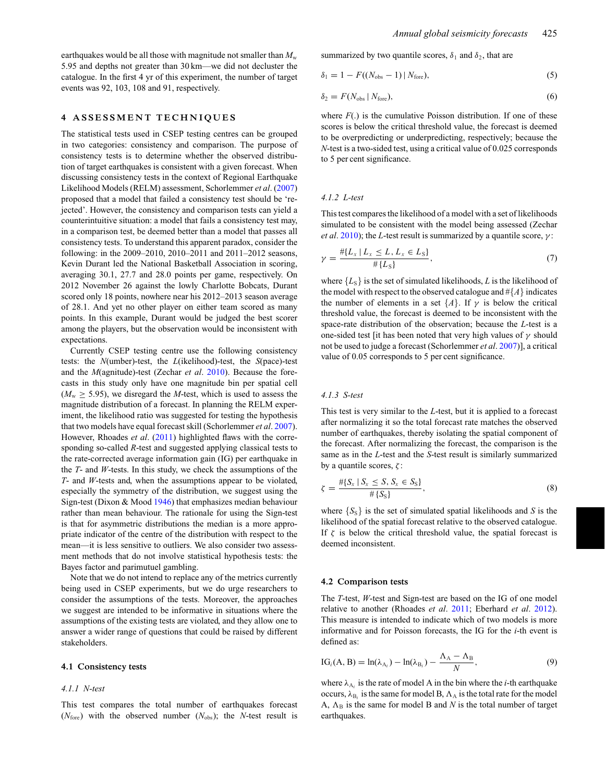#### **4 ASSESSMENT TECHNIQUES**

The statistical tests used in CSEP testing centres can be grouped in two categories: consistency and comparison. The purpose of consistency tests is to determine whether the observed distribution of target earthquakes is consistent with a given forecast. When discussing consistency tests in the context of Regional Earthquake Likelihood Models (RELM) assessment, Schorlemmer *et al*. [\(2007\)](#page-10-24) proposed that a model that failed a consistency test should be 'rejected'. However, the consistency and comparison tests can yield a counterintuitive situation: a model that fails a consistency test may, in a comparison test, be deemed better than a model that passes all consistency tests. To understand this apparent paradox, consider the following: in the 2009–2010, 2010–2011 and 2011–2012 seasons, Kevin Durant led the National Basketball Association in scoring, averaging 30.1, 27.7 and 28.0 points per game, respectively. On 2012 November 26 against the lowly Charlotte Bobcats, Durant scored only 18 points, nowhere near his 2012–2013 season average of 28.1. And yet no other player on either team scored as many points. In this example, Durant would be judged the best scorer among the players, but the observation would be inconsistent with expectations.

Currently CSEP testing centre use the following consistency tests: the *N*(umber)-test, the *L*(ikelihood)-test, the *S*(pace)-test and the *M*(agnitude)-test (Zechar *et al*. [2010\)](#page-10-1). Because the forecasts in this study only have one magnitude bin per spatial cell  $(M<sub>w</sub> > 5.95)$ , we disregard the *M*-test, which is used to assess the magnitude distribution of a forecast. In planning the RELM experiment, the likelihood ratio was suggested for testing the hypothesis that two models have equal forecast skill (Schorlemmer *et al*. [2007\)](#page-10-24). However, Rhoades *et al*. [\(2011\)](#page-10-25) highlighted flaws with the corresponding so-called *R*-test and suggested applying classical tests to the rate-corrected average information gain (IG) per earthquake in the *T*- and *W*-tests. In this study, we check the assumptions of the *T*- and *W*-tests and, when the assumptions appear to be violated, especially the symmetry of the distribution, we suggest using the Sign-test (Dixon & Mood [1946\)](#page-9-7) that emphasizes median behaviour rather than mean behaviour. The rationale for using the Sign-test is that for asymmetric distributions the median is a more appropriate indicator of the centre of the distribution with respect to the mean—it is less sensitive to outliers. We also consider two assessment methods that do not involve statistical hypothesis tests: the Bayes factor and parimutuel gambling.

Note that we do not intend to replace any of the metrics currently being used in CSEP experiments, but we do urge researchers to consider the assumptions of the tests. Moreover, the approaches we suggest are intended to be informative in situations where the assumptions of the existing tests are violated, and they allow one to answer a wider range of questions that could be raised by different stakeholders.

#### **4.1 Consistency tests**

#### *4.1.1 N-test*

This test compares the total number of earthquakes forecast  $(N<sub>fore</sub>)$  with the observed number  $(N<sub>obs</sub>)$ ; the *N*-test result is summarized by two quantile scores,  $\delta_1$  and  $\delta_2$ , that are

$$
\delta_1 = 1 - F((N_{\text{obs}} - 1) | N_{\text{fore}}),
$$
\n(5)

$$
\delta_2 = F(N_{\text{obs}} \mid N_{\text{fore}}),\tag{6}
$$

where  $F(.)$  is the cumulative Poisson distribution. If one of these scores is below the critical threshold value, the forecast is deemed to be overpredicting or underpredicting, respectively; because the *N*-test is a two-sided test, using a critical value of 0.025 corresponds to 5 per cent significance.

#### *4.1.2 L-test*

This test compares the likelihood of a model with a set of likelihoods simulated to be consistent with the model being assessed (Zechar *et al.* [2010\)](#page-10-1); the *L*-test result is summarized by a quantile score,  $\gamma$ :

$$
\gamma = \frac{\# \{L_x \mid L_x \le L, L_x \in L_S\}}{\# \{L_S\}},\tag{7}
$$

where  ${L<sub>S</sub>}$  is the set of simulated likelihoods, *L* is the likelihood of the model with respect to the observed catalogue and #{*A*} indicates the number of elements in a set  $\{A\}$ . If  $\gamma$  is below the critical threshold value, the forecast is deemed to be inconsistent with the space-rate distribution of the observation; because the *L*-test is a one-sided test [it has been noted that very high values of  $\gamma$  should not be used to judge a forecast (Schorlemmer *et al*. [2007\)](#page-10-24)], a critical value of 0.05 corresponds to 5 per cent significance.

#### *4.1.3 S-test*

This test is very similar to the *L*-test, but it is applied to a forecast after normalizing it so the total forecast rate matches the observed number of earthquakes, thereby isolating the spatial component of the forecast. After normalizing the forecast, the comparison is the same as in the *L*-test and the *S*-test result is similarly summarized by a quantile scores,  $\zeta$ :

$$
\zeta = \frac{\# \{ S_x \mid S_x \leq S, S_x \in S_S \}}{\# \{ S_S \}}, \tag{8}
$$

where  ${S<sub>S</sub>}$  is the set of simulated spatial likelihoods and *S* is the likelihood of the spatial forecast relative to the observed catalogue. If  $\zeta$  is below the critical threshold value, the spatial forecast is deemed inconsistent.

#### **4.2 Comparison tests**

The *T*-test, *W*-test and Sign-test are based on the IG of one model relative to another (Rhoades *et al*. [2011;](#page-10-25) Eberhard *et al*. [2012\)](#page-9-4). This measure is intended to indicate which of two models is more informative and for Poisson forecasts, the IG for the *i*-th event is defined as:

$$
IG_i(A, B) = \ln(\lambda_{A_i}) - \ln(\lambda_{B_i}) - \frac{\Lambda_A - \Lambda_B}{N},
$$
\n(9)

where  $\lambda_{A_i}$  is the rate of model A in the bin where the *i*-th earthquake occurs,  $\lambda_{\text{B}_i}$  is the same for model B,  $\Lambda_A$  is the total rate for the model A,  $\Lambda_B$  is the same for model B and N is the total number of target earthquakes.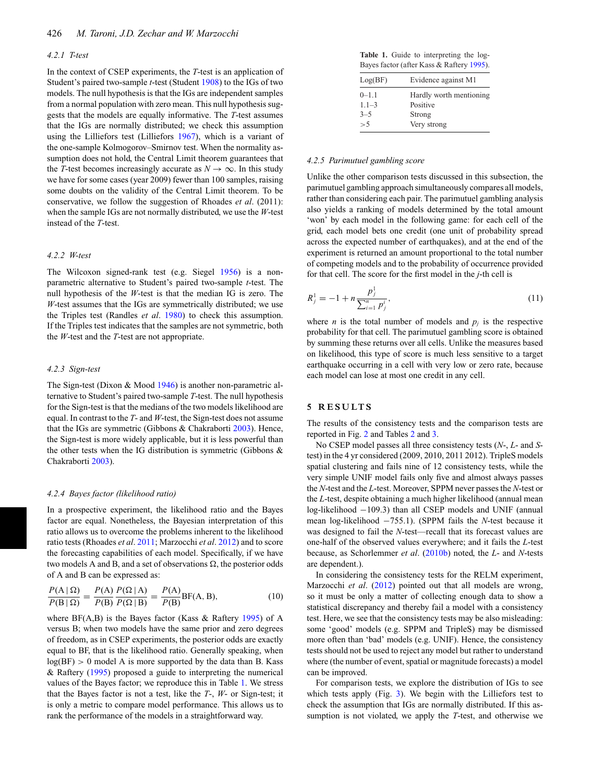#### *4.2.1 T-test*

In the context of CSEP experiments, the *T*-test is an application of Student's paired two-sample *t*-test (Student [1908\)](#page-10-26) to the IGs of two models. The null hypothesis is that the IGs are independent samples from a normal population with zero mean. This null hypothesis suggests that the models are equally informative. The *T*-test assumes that the IGs are normally distributed; we check this assumption using the Lilliefors test (Lilliefors [1967\)](#page-10-27), which is a variant of the one-sample Kolmogorov–Smirnov test. When the normality assumption does not hold, the Central Limit theorem guarantees that the *T*-test becomes increasingly accurate as  $N \rightarrow \infty$ . In this study we have for some cases (year 2009) fewer than 100 samples, raising some doubts on the validity of the Central Limit theorem. To be conservative, we follow the suggestion of Rhoades *et al*. (2011): when the sample IGs are not normally distributed, we use the *W*-test instead of the *T*-test.

#### *4.2.2 W-test*

The Wilcoxon signed-rank test (e.g. Siegel [1956\)](#page-10-28) is a nonparametric alternative to Student's paired two-sample *t*-test. The null hypothesis of the *W*-test is that the median IG is zero. The *W*-test assumes that the IGs are symmetrically distributed; we use the Triples test (Randles *et al*. [1980\)](#page-10-29) to check this assumption. If the Triples test indicates that the samples are not symmetric, both the *W*-test and the *T*-test are not appropriate.

#### *4.2.3 Sign-test*

The Sign-test (Dixon & Mood [1946\)](#page-9-7) is another non-parametric alternative to Student's paired two-sample *T*-test. The null hypothesis for the Sign-test is that the medians of the two models likelihood are equal. In contrast to the *T*- and *W*-test, the Sign-test does not assume that the IGs are symmetric (Gibbons & Chakraborti [2003\)](#page-9-8). Hence, the Sign-test is more widely applicable, but it is less powerful than the other tests when the IG distribution is symmetric (Gibbons & Chakraborti [2003\)](#page-9-8).

#### *4.2.4 Bayes factor (likelihood ratio)*

In a prospective experiment, the likelihood ratio and the Bayes factor are equal. Nonetheless, the Bayesian interpretation of this ratio allows us to overcome the problems inherent to the likelihood ratio tests (Rhoades *et al*. [2011;](#page-10-25) Marzocchi *et al*. [2012\)](#page-10-18) and to score the forecasting capabilities of each model. Specifically, if we have two models A and B, and a set of observations  $\Omega$ , the posterior odds of A and B can be expressed as:

$$
\frac{P(A \mid \Omega)}{P(B \mid \Omega)} = \frac{P(A)}{P(B)} \frac{P(\Omega \mid A)}{P(\Omega \mid B)} = \frac{P(A)}{P(B)} BF(A, B),\tag{10}
$$

where BF(A,B) is the Bayes factor (Kass & Raftery [1995\)](#page-10-21) of A versus B; when two models have the same prior and zero degrees of freedom, as in CSEP experiments, the posterior odds are exactly equal to BF, that is the likelihood ratio. Generally speaking, when  $log(BF) > 0$  model A is more supported by the data than B. Kass & Raftery [\(1995\)](#page-10-21) proposed a guide to interpreting the numerical values of the Bayes factor; we reproduce this in Table [1.](#page-5-0) We stress that the Bayes factor is not a test, like the *T*-, *W*- or Sign-test; it is only a metric to compare model performance. This allows us to rank the performance of the models in a straightforward way.

<span id="page-5-0"></span>**Table 1.** Guide to interpreting the log-Bayes factor (after Kass & Raftery [1995\)](#page-10-21).

| Log(BF)   | Evidence against M1     |
|-----------|-------------------------|
| $0 - 1.1$ | Hardly worth mentioning |
| $1.1 - 3$ | Positive                |
| $3 - 5$   | Strong                  |
| > 5       | Very strong             |
|           |                         |

#### *4.2.5 Parimutuel gambling score*

Unlike the other comparison tests discussed in this subsection, the parimutuel gambling approach simultaneously compares all models, rather than considering each pair. The parimutuel gambling analysis also yields a ranking of models determined by the total amount 'won' by each model in the following game: for each cell of the grid, each model bets one credit (one unit of probability spread across the expected number of earthquakes), and at the end of the experiment is returned an amount proportional to the total number of competing models and to the probability of occurrence provided for that cell. The score for the first model in the *j*-th cell is

$$
R_j^1 = -1 + n \frac{p_j^1}{\sum_{i=1}^n p_j^i},\tag{11}
$$

where *n* is the total number of models and  $p_i$  is the respective probability for that cell. The parimutuel gambling score is obtained by summing these returns over all cells. Unlike the measures based on likelihood, this type of score is much less sensitive to a target earthquake occurring in a cell with very low or zero rate, because each model can lose at most one credit in any cell.

#### **5 RESULTS**

The results of the consistency tests and the comparison tests are reported in Fig. [2](#page-6-0) and Tables [2](#page-6-1) and [3.](#page-6-2)

No CSEP model passes all three consistency tests (*N*-, *L*- and *S*test) in the 4 yr considered (2009, 2010, 2011 2012). TripleS models spatial clustering and fails nine of 12 consistency tests, while the very simple UNIF model fails only five and almost always passes the *N*-test and the *L*-test. Moreover, SPPM never passes the *N*-test or the *L*-test, despite obtaining a much higher likelihood (annual mean log-likelihood −109.3) than all CSEP models and UNIF (annual mean log-likelihood −755.1). (SPPM fails the *N*-test because it was designed to fail the *N*-test—recall that its forecast values are one-half of the observed values everywhere; and it fails the *L*-test because, as Schorlemmer *et al*. [\(2010b\)](#page-10-30) noted, the *L*- and *N*-tests are dependent.).

In considering the consistency tests for the RELM experiment, Marzocchi *et al*. [\(2012\)](#page-10-18) pointed out that all models are wrong, so it must be only a matter of collecting enough data to show a statistical discrepancy and thereby fail a model with a consistency test. Here, we see that the consistency tests may be also misleading: some 'good' models (e.g. SPPM and TripleS) may be dismissed more often than 'bad' models (e.g. UNIF). Hence, the consistency tests should not be used to reject any model but rather to understand where (the number of event, spatial or magnitude forecasts) a model can be improved[.](#page-6-1)

For comparison tests, we explore the distribution of IGs to see which tests apply (Fig. [3\)](#page-7-0). We begin with the Lilliefors test to check the assumption that IGs are normally distributed. If this assumption is not violated, we apply the *T*-test, and otherwise we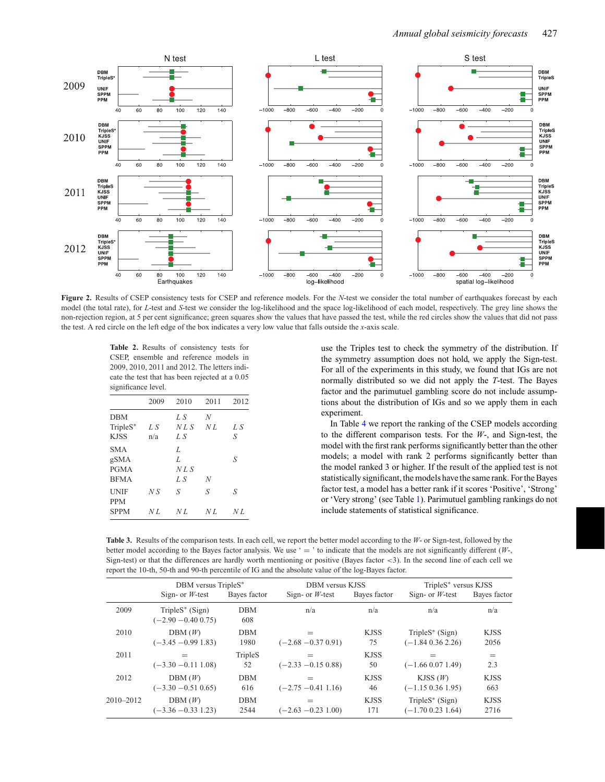<span id="page-6-0"></span>

**Figure 2.** Results of CSEP consistency tests for CSEP and reference models. For the *N*-test we consider the total number of earthquakes forecast by each model (the total rate), for *L*-test and *S*-test we consider the log-likelihood and the space log-likelihood of each model, respectively. The grey line shows the non-rejection region, at 5 per cent significance; green squares show the values that have passed the test, while the red circles show the values that did not pass the test. A red circle on the left edge of the box indicates a very low value that falls outside the *x*-axis scale.

<span id="page-6-1"></span>**Table 2.** Results of consistency tests for CSEP, ensemble and reference models in 2009, 2010, 2011 and 2012. The letters indicate the test that has been rejected at a 0.05 significance level.

|             | 2009 | 2010  | 2011 | 2012 |
|-------------|------|-------|------|------|
| <b>DBM</b>  |      | L S   | N    |      |
| TripleS*    | L S  | N L S | NL   | L S  |
| <b>KJSS</b> | n/a  | L S   |      | S    |
| <b>SMA</b>  |      | L     |      |      |
| gSMA        |      | L     |      | S    |
| <b>PGMA</b> |      | N L S |      |      |
| <b>BFMA</b> |      | L S   | N    |      |
| <b>UNIF</b> | N.S  | S     | S    | S    |
| <b>PPM</b>  |      |       |      |      |
| <b>SPPM</b> | NL   | N L   | NL   | N L  |
|             |      |       |      |      |

use the Triples test to check the symmetry of the distribution. If the symmetry assumption does not hold, we apply the Sign-test. For all of the experiments in this study, we found that IGs are not normally distributed so we did not apply the *T*-test. The Bayes factor and the parimutuel gambling score do not include assumptions about the distribution of IGs and so we apply them in each experiment[.](#page-7-0)

In Table [4](#page-7-1) we report the ranking of the CSEP models according to the different comparison tests. For the *W*-, and Sign-test, the model with the first rank performs significantly better than the other models; a model with rank 2 performs significantly better than the model ranked 3 or higher. If the result of the applied test is not statistically significant, the models have the same rank. For the Bayes factor test, a model has a better rank if it scores 'Positive', 'Strong' or 'Very strong' (see Table [1\)](#page-5-0). Parimutuel gambling rankings do not include statements of statistical significance.

<span id="page-6-2"></span>**Table 3.** Results of the comparison tests. In each cell, we report the better model according to the *W*- or Sign-test, followed by the better model according to the Bayes factor analysis. We use ' =  $\cdot$  to indicate that the models are not significantly different (*W*-, Sign-test) or that the differences are hardly worth mentioning or positive (Bayes factor <3). In the second line of each cell we report the 10-th, 50-th and 90-th percentile of IG and the absolute value of the log-Bayes factor.

|           |                                             | DBM versus TripleS*<br>DBM versus KJSS |                       |              |                         | TripleS <sup>*</sup> versus KJSS |  |
|-----------|---------------------------------------------|----------------------------------------|-----------------------|--------------|-------------------------|----------------------------------|--|
|           | Sign- or $W$ -test                          | Bayes factor                           | Sign- or $W$ -test    | Bayes factor | Sign- or $W$ -test      | Bayes factor                     |  |
| 2009      | TripleS $*$ (Sign)<br>$(-2.90 - 0.40 0.75)$ | <b>DBM</b><br>608                      | n/a                   | n/a          | n/a                     | n/a                              |  |
| 2010      | DBM(W)                                      | <b>DBM</b>                             | $=$                   | <b>KJSS</b>  | TripleS $*$ (Sign)      | <b>KJSS</b>                      |  |
|           | $(-3.45 - 0.99 1.83)$                       | 1980                                   | $(-2.68 - 0.37 0.91)$ | 75           | $(-1.84\; 0.36\; 2.26)$ | 2056                             |  |
| 2011      | $=$                                         | TripleS                                | $=$                   | <b>KJSS</b>  | $=$                     | $=$                              |  |
|           | $(-3.30 - 0.111.08)$                        | 52                                     | $(-2.33 - 0.15 0.88)$ | 50           | $(-1.66\ 0.07\ 1.49)$   | 2.3                              |  |
| 2012      | DBM(W)                                      | <b>DBM</b>                             | $=$                   | <b>KJSS</b>  | KJSS $(W)$              | <b>KJSS</b>                      |  |
|           | $(-3.30 - 0.51 0.65)$                       | 616                                    | $(-2.75 - 0.41 1.16)$ | 46           | $(-1.15\ 0.36\ 1.95)$   | 663                              |  |
| 2010-2012 | DBM(W)                                      | <b>DBM</b>                             | $=$                   | <b>KJSS</b>  | TripleS $*$ (Sign)      | <b>KJSS</b>                      |  |
|           | $(-3.36 - 0.33 1.23)$                       | 2544                                   | $(-2.63 - 0.231.00)$  | 171          | $(-1.70\ 0.23\ 1.64)$   | 2716                             |  |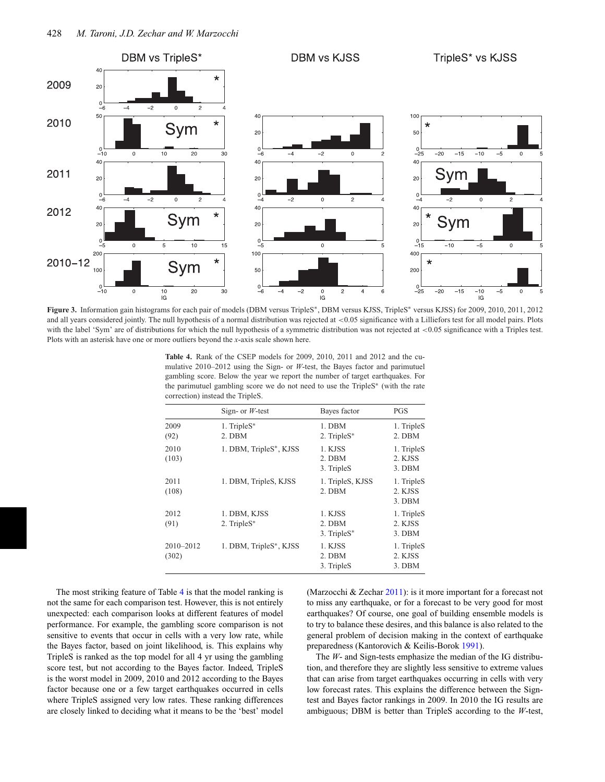<span id="page-7-0"></span>

<span id="page-7-1"></span>**Figure 3.** Information gain histograms for each pair of models (DBM versus TripleS∗, DBM versus KJSS, TripleS<sup>∗</sup> versus KJSS) for 2009, 2010, 2011, 2012 and all years considered jointly. The null hypothesis of a normal distribution was rejected at <0.05 significance with a Lilliefors test for all model pairs. Plots with the label 'Sym' are of distributions for which the null hypothesis of a symmetric distribution was not rejected at <0.05 significance with a Triples test. Plots with an asterisk have one or more outliers beyond the *x*-axis scale shown here.

**Table 4.** Rank of the CSEP models for 2009, 2010, 2011 and 2012 and the cumulative 2010–2012 using the Sign- or *W*-test, the Bayes factor and parimutuel gambling score. Below the year we report the number of target earthquakes. For the parimutuel gambling score we do not need to use the TripleS<sup>∗</sup> (with the rate correction) instead the TripleS.

|                    | Sign- or $W$ -test          | Bayes factor                       | <b>PGS</b>                        |
|--------------------|-----------------------------|------------------------------------|-----------------------------------|
| 2009<br>(92)       | 1. TripleS*<br>2. DBM       | 1. DBM<br>2. TripleS*              | 1. TripleS<br>2. DBM              |
| 2010<br>(103)      | 1. DBM, TripleS*, KJSS      | 1. KJSS<br>2. DBM<br>3. TripleS    | 1. TripleS<br>2. KJSS<br>$3.$ DBM |
| 2011<br>(108)      | 1. DBM, TripleS, KJSS       | 1. TripleS, KJSS<br>2. DBM         | 1. TripleS<br>2. KJSS<br>$3.$ DBM |
| 2012<br>(91)       | 1. DBM, KJSS<br>2. TripleS* | 1. KJSS<br>2. DBM<br>$3.$ TripleS* | 1. TripleS<br>2. KJSS<br>3. DBM   |
| 2010-2012<br>(302) | 1. DBM, TripleS*, KJSS      | 1. KJSS<br>2. DBM<br>3. TripleS    | 1. TripleS<br>2. KJSS<br>3. DBM   |

The most striking feature of Table [4](#page-7-1) is that the model ranking is not the same for each comparison test. However, this is not entirely unexpected: each comparison looks at different features of model performance. For example, the gambling score comparison is not sensitive to events that occur in cells with a very low rate, while the Bayes factor, based on joint likelihood, is. This explains why TripleS is ranked as the top model for all 4 yr using the gambling score test, but not according to the Bayes factor. Indeed, TripleS is the worst model in 2009, 2010 and 2012 according to the Bayes factor because one or a few target earthquakes occurred in cells where TripleS assigned very low rates. These ranking differences are closely linked to deciding what it means to be the 'best' model

(Marzocchi & Zechar [2011\)](#page-10-0): is it more important for a forecast not to miss any earthquake, or for a forecast to be very good for most earthquakes? Of course, one goal of building ensemble models is to try to balance these desires, and this balance is also related to the general problem of decision making in the context of earthquake preparedness (Kantorovich & Keilis-Borok [1991\)](#page-10-31).

The *W*- and Sign-tests emphasize the median of the IG distribution, and therefore they are slightly less sensitive to extreme values that can arise from target earthquakes occurring in cells with very low forecast rates. This explains the difference between the Signtest and Bayes factor rankings in 2009. In 2010 the IG results are ambiguous; DBM is better than TripleS according to th[e](#page-8-0) *W*-test,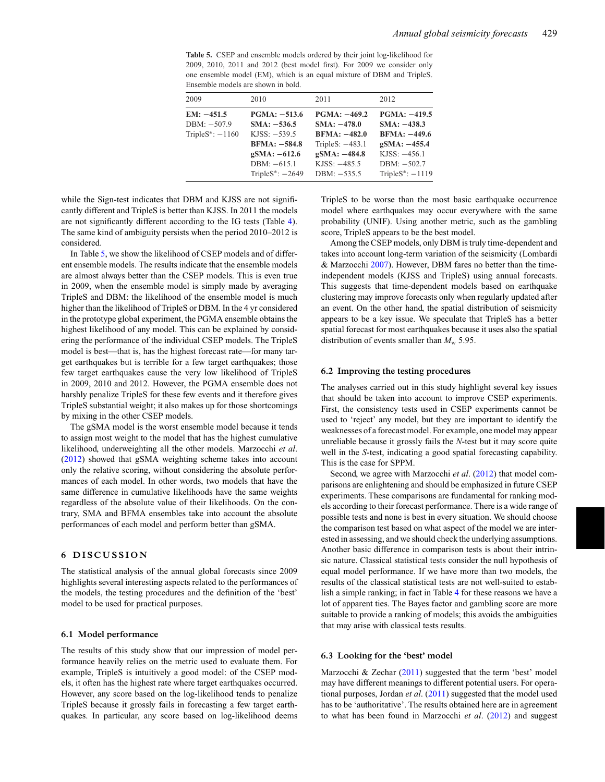<span id="page-8-0"></span>**Table 5.** CSEP and ensemble models ordered by their joint log-likelihood for 2009, 2010, 2011 and 2012 (best model first). For 2009 we consider only one ensemble model (EM), which is an equal mixture of DBM and TripleS. Ensemble models are shown in bold.

| 2009                                                            | 2010                                                                                                                            | 2011                                                                                                                        | 2012                                                                                                                            |
|-----------------------------------------------------------------|---------------------------------------------------------------------------------------------------------------------------------|-----------------------------------------------------------------------------------------------------------------------------|---------------------------------------------------------------------------------------------------------------------------------|
| $EM: -451.5$<br>DBM: $-507.9$<br>TripleS <sup>*</sup> : $-1160$ | $PGMA: -513.6$<br>$SMA: -536.5$<br>KJSS: $-539.5$<br>$BFMA: -584.8$<br>$gSMA: -612.6$<br>$DBM: -615.1$<br>TripleS $*$ : $-2649$ | $PGMA: -469.2$<br>$SMA: -478.0$<br>$BFMA: -482.0$<br>TripleS: $-483.1$<br>$gSMA: -484.8$<br>KJSS: $-485.5$<br>DBM: $-535.5$ | $PGMA: -419.5$<br>$SMA: -438.3$<br>$BFMA: -449.6$<br>$gSMA: -455.4$<br>KJSS: $-456.1$<br>DBM: $-502.7$<br>TripleS $*$ : $-1119$ |

while the Sign-test indicates that DBM and KJSS are not significantly different and TripleS is better than KJSS. In 2011 the models are not significantly different according to the IG tests (Table [4\)](#page-7-1). The same kind of ambiguity persists when the period 2010–2012 is considered.

In Table [5,](#page-8-0) we show the likelihood of CSEP models and of different ensemble models. The results indicate that the ensemble models are almost always better than the CSEP models. This is even true in 2009, when the ensemble model is simply made by averaging TripleS and DBM: the likelihood of the ensemble model is much higher than the likelihood of TripleS or DBM. In the 4 yr considered in the prototype global experiment, the PGMA ensemble obtains the highest likelihood of any model. This can be explained by considering the performance of the individual CSEP models. The TripleS model is best—that is, has the highest forecast rate—for many target earthquakes but is terrible for a few target earthquakes; those few target earthquakes cause the very low likelihood of TripleS in 2009, 2010 and 2012. However, the PGMA ensemble does not harshly penalize TripleS for these few events and it therefore gives TripleS substantial weight; it also makes up for those shortcomings by mixing in the other CSEP models.

The gSMA model is the worst ensemble model because it tends to assign most weight to the model that has the highest cumulative likelihood, underweighting all the other models. Marzocchi *et al*. [\(2012\)](#page-10-18) showed that gSMA weighting scheme takes into account only the relative scoring, without considering the absolute performances of each model. In other words, two models that have the same difference in cumulative likelihoods have the same weights regardless of the absolute value of their likelihoods. On the contrary, SMA and BFMA ensembles take into account the absolute performances of each model and perform better than gSMA.

#### **6 DISCUSSION**

The statistical analysis of the annual global forecasts since 2009 highlights several interesting aspects related to the performances of the models, the testing procedures and the definition of the 'best' model to be used for practical purposes.

#### **6.1 Model performance**

The results of this study show that our impression of model performance heavily relies on the metric used to evaluate them. For example, TripleS is intuitively a good model: of the CSEP models, it often has the highest rate where target earthquakes occurred. However, any score based on the log-likelihood tends to penalize TripleS because it grossly fails in forecasting a few target earthquakes. In particular, any score based on log-likelihood deems TripleS to be worse than the most basic earthquake occurrence model where earthquakes may occur everywhere with the same probability (UNIF). Using another metric, such as the gambling score, TripleS appears to be the best model.

Among the CSEP models, only DBM is truly time-dependent and takes into account long-term variation of the seismicity (Lombardi & Marzocchi [2007\)](#page-10-32). However, DBM fares no better than the timeindependent models (KJSS and TripleS) using annual forecasts. This suggests that time-dependent models based on earthquake clustering may improve forecasts only when regularly updated after an event. On the other hand, the spatial distribution of seismicity appears to be a key issue. We speculate that TripleS has a better spatial forecast for most earthquakes because it uses also the spatial distribution of events smaller than  $M_{\rm w}$  5.95.

#### **6.2 Improving the testing procedures**

The analyses carried out in this study highlight several key issues that should be taken into account to improve CSEP experiments. First, the consistency tests used in CSEP experiments cannot be used to 'reject' any model, but they are important to identify the weaknesses of a forecast model. For example, one model may appear unreliable because it grossly fails the *N*-test but it may score quite well in the *S*-test, indicating a good spatial forecasting capability. This is the case for SPPM.

Second, we agree with Marzocchi *et al*. [\(2012\)](#page-10-18) that model comparisons are enlightening and should be emphasized in future CSEP experiments. These comparisons are fundamental for ranking models according to their forecast performance. There is a wide range of possible tests and none is best in every situation. We should choose the comparison test based on what aspect of the model we are interested in assessing, and we should check the underlying assumptions. Another basic difference in comparison tests is about their intrinsic nature. Classical statistical tests consider the null hypothesis of equal model performance. If we have more than two models, the results of the classical statistical tests are not well-suited to establish a simple ranking; in fact in Table [4](#page-7-1) for these reasons we have a lot of apparent ties. The Bayes factor and gambling score are more suitable to provide a ranking of models; this avoids the ambiguities that may arise with classical tests results.

#### **6.3 Looking for the 'best' model**

Marzocchi & Zechar [\(2011\)](#page-10-0) suggested that the term 'best' model may have different meanings to different potential users. For operational purposes, Jordan *et al*. [\(2011\)](#page-10-11) suggested that the model used has to be 'authoritative'. The results obtained here are in agreement to what has been found in Marzocchi *et al*. [\(2012\)](#page-10-18) and suggest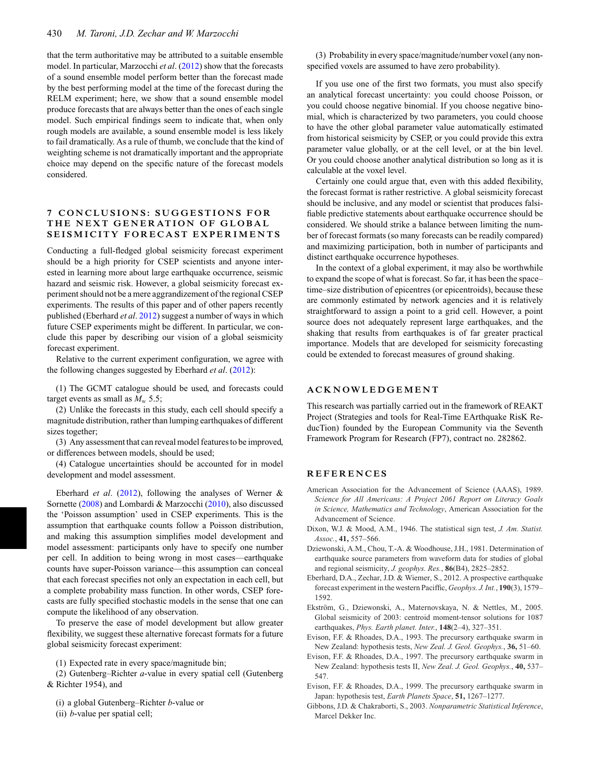that the term authoritative may be attributed to a suitable ensemble model. In particular, Marzocchi *et al*. [\(2012\)](#page-10-18) show that the forecasts of a sound ensemble model perform better than the forecast made by the best performing model at the time of the forecast during the RELM experiment; here, we show that a sound ensemble model produce forecasts that are always better than the ones of each single model. Such empirical findings seem to indicate that, when only rough models are available, a sound ensemble model is less likely to fail dramatically. As a rule of thumb, we conclude that the kind of weighting scheme is not dramatically important and the appropriate choice may depend on the specific nature of the forecast models considered.

#### **7 CONCLUSIONS: SUGGESTIONS FOR THE NEXT GENERATION OF GLOBAL SEISMICITY FORECAST EXPERIMENTS**

Conducting a full-fledged global seismicity forecast experiment should be a high priority for CSEP scientists and anyone interested in learning more about large earthquake occurrence, seismic hazard and seismic risk. However, a global seismicity forecast experiment should not be a mere aggrandizement of the regional CSEP experiments. The results of this paper and of other papers recently published (Eberhard *et al*. [2012\)](#page-9-4) suggest a number of ways in which future CSEP experiments might be different. In particular, we conclude this paper by describing our vision of a global seismicity forecast experiment.

Relative to the current experiment configuration, we agree with the following changes suggested by Eberhard *et al*. [\(2012\)](#page-9-4):

(1) The GCMT catalogue should be used, and forecasts could target events as small as  $M_{\rm w}$  5.5;

(2) Unlike the forecasts in this study, each cell should specify a magnitude distribution, rather than lumping earthquakes of different sizes together;

(3) Any assessment that can reveal model features to be improved, or differences between models, should be used;

(4) Catalogue uncertainties should be accounted for in model development and model assessment.

Eberhard *et al*. [\(2012\)](#page-9-4), following the analyses of Werner & Sornette [\(2008\)](#page-10-33) and Lombardi & Marzocchi [\(2010\)](#page-10-34), also discussed the 'Poisson assumption' used in CSEP experiments. This is the assumption that earthquake counts follow a Poisson distribution, and making this assumption simplifies model development and model assessment: participants only have to specify one number per cell. In addition to being wrong in most cases—earthquake counts have super-Poisson variance—this assumption can conceal that each forecast specifies not only an expectation in each cell, but a complete probability mass function. In other words, CSEP forecasts are fully specified stochastic models in the sense that one can compute the likelihood of any observation.

To preserve the ease of model development but allow greater flexibility, we suggest these alternative forecast formats for a future global seismicity forecast experiment:

(1) Expected rate in every space/magnitude bin;

(2) Gutenberg–Richter *a*-value in every spatial cell (Gutenberg & Richter 1954), and

(i) a global Gutenberg–Richter *b*-value or

(ii) *b*-value per spatial cell;

(3) Probability in every space/magnitude/number voxel (any nonspecified voxels are assumed to have zero probability).

If you use one of the first two formats, you must also specify an analytical forecast uncertainty: you could choose Poisson, or you could choose negative binomial. If you choose negative binomial, which is characterized by two parameters, you could choose to have the other global parameter value automatically estimated from historical seismicity by CSEP, or you could provide this extra parameter value globally, or at the cell level, or at the bin level. Or you could choose another analytical distribution so long as it is calculable at the voxel level.

Certainly one could argue that, even with this added flexibility, the forecast format is rather restrictive. A global seismicity forecast should be inclusive, and any model or scientist that produces falsifiable predictive statements about earthquake occurrence should be considered. We should strike a balance between limiting the number of forecast formats (so many forecasts can be readily compared) and maximizing participation, both in number of participants and distinct earthquake occurrence hypotheses.

In the context of a global experiment, it may also be worthwhile to expand the scope of what is forecast. So far, it has been the space– time–size distribution of epicentres (or epicentroids), because these are commonly estimated by network agencies and it is relatively straightforward to assign a point to a grid cell. However, a point source does not adequately represent large earthquakes, and the shaking that results from earthquakes is of far greater practical importance. Models that are developed for seismicity forecasting could be extended to forecast measures of ground shaking.

#### **ACKNOWLEDGEMENT**

This research was partially carried out in the framework of REAKT Project (Strategies and tools for Real-Time EArthquake RisK ReducTion) founded by the European Community via the Seventh Framework Program for Research (FP7), contract no. 282862.

#### **REFERENCES**

- <span id="page-9-0"></span>American Association for the Advancement of Science (AAAS), 1989. *Science for All Americans: A Project 2061 Report on Literacy Goals in Science, Mathematics and Technology*, American Association for the Advancement of Science.
- <span id="page-9-7"></span>Dixon, W.J. & Mood, A.M., 1946. The statistical sign test, *J. Am. Statist. Assoc.*, **41,** 557–566.
- <span id="page-9-5"></span>Dziewonski, A.M., Chou, T.-A. & Woodhouse, J.H., 1981. Determination of earthquake source parameters from waveform data for studies of global and regional seismicity, *J. geophys. Res.*, **86**(B4), 2825–2852.
- <span id="page-9-4"></span>Eberhard, D.A., Zechar, J.D. & Wiemer, S., 2012. A prospective earthquake forecast experiment in the western Paciffic, *Geophys. J. Int.*, **190**(3), 1579– 1592.
- <span id="page-9-6"></span>Ekström, G., Dziewonski, A., Maternovskaya, N. & Nettles, M., 2005. Global seismicity of 2003: centroid moment-tensor solutions for 1087 earthquakes, *Phys. Earth planet. Inter.*, **148**(2–4), 327–351.
- <span id="page-9-1"></span>Evison, F.F. & Rhoades, D.A., 1993. The precursory earthquake swarm in New Zealand: hypothesis tests, *New Zeal. J. Geol. Geophys.*, **36,** 51–60.
- <span id="page-9-2"></span>Evison, F.F. & Rhoades, D.A., 1997. The precursory earthquake swarm in New Zealand: hypothesis tests II, *New Zeal. J. Geol. Geophys.*, **40,** 537– 547.
- <span id="page-9-3"></span>Evison, F.F. & Rhoades, D.A., 1999. The precursory earthquake swarm in Japan: hypothesis test, *Earth Planets Space*, **51,** 1267–1277.
- <span id="page-9-8"></span>Gibbons, J.D. & Chakraborti, S., 2003. *Nonparametric Statistical Inference*, Marcel Dekker Inc.